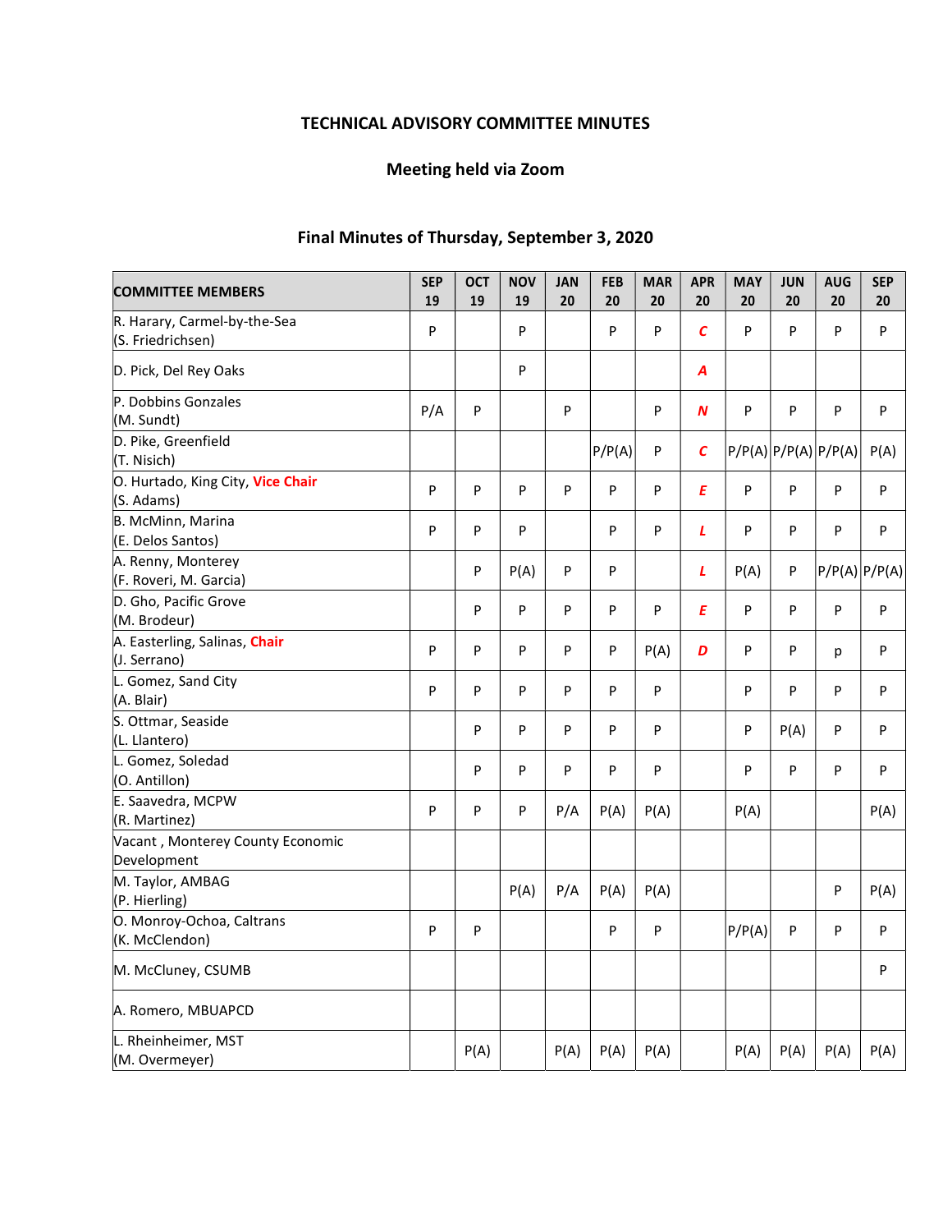# TECHNICAL ADVISORY COMMITTEE MINUTES

# Meeting held via Zoom

# Final Minutes of Thursday, September 3, 2020

| <b>COMMITTEE MEMBERS</b>                          | <b>SEP</b><br>19 | <b>OCT</b><br>19 | <b>NOV</b><br>19 | <b>JAN</b><br>20 | <b>FEB</b><br>20 | <b>MAR</b><br>20 | <b>APR</b><br>20 | <b>MAY</b><br>20 | <b>JUN</b><br>20 | <b>AUG</b><br>20     | <b>SEP</b><br>20 |
|---------------------------------------------------|------------------|------------------|------------------|------------------|------------------|------------------|------------------|------------------|------------------|----------------------|------------------|
| R. Harary, Carmel-by-the-Sea<br>(S. Friedrichsen) | P                |                  | P                |                  | P                | P                | $\epsilon$       | P                | P                | P                    | P                |
| D. Pick, Del Rey Oaks                             |                  |                  | P                |                  |                  |                  | A                |                  |                  |                      |                  |
| P. Dobbins Gonzales<br>(M. Sundt)                 | P/A              | P                |                  | P                |                  | P                | N                | P                | P                | P                    | P                |
| D. Pike, Greenfield<br>(T. Nisich)                |                  |                  |                  |                  | P/P(A)           | P                | $\mathcal{C}$    |                  |                  | P/P(A) P/P(A) P/P(A) | P(A)             |
| O. Hurtado, King City, Vice Chair<br>(S. Adams)   | P                | P                | P                | P                | P                | P                | E                | P                | P                | P                    | P                |
| B. McMinn, Marina<br>(E. Delos Santos)            | P                | P                | P                |                  | P                | P                | L                | P                | P                | P                    | P                |
| A. Renny, Monterey<br>(F. Roveri, M. Garcia)      |                  | P                | P(A)             | P                | P                |                  | L                | P(A)             | P                | P/P(A) P/P(A)        |                  |
| D. Gho, Pacific Grove<br>(M. Brodeur)             |                  | P                | P                | P                | P                | P                | E                | $\mathsf{P}$     | P                | P                    | P                |
| A. Easterling, Salinas, Chair<br>(J. Serrano)     | P                | P                | P                | P                | P                | P(A)             | D                | P                | P                | p                    | P                |
| L. Gomez, Sand City<br>(A. Blair)                 | P                | P                | P                | P                | P                | P                |                  | P                | P                | P                    | P                |
| S. Ottmar, Seaside<br>(L. Llantero)               |                  | P                | P                | P                | P                | P                |                  | P                | P(A)             | P                    | P                |
| L. Gomez, Soledad<br>(O. Antillon)                |                  | P                | P                | P                | P                | P                |                  | $\mathsf{P}$     | P                | P                    | P                |
| E. Saavedra, MCPW<br>(R. Martinez)                | ${\sf P}$        | P                | P                | P/A              | P(A)             | P(A)             |                  | P(A)             |                  |                      | P(A)             |
| Vacant, Monterey County Economic<br>Development   |                  |                  |                  |                  |                  |                  |                  |                  |                  |                      |                  |
| M. Taylor, AMBAG<br>(P. Hierling)                 |                  |                  | P(A)             | P/A              | P(A)             | P(A)             |                  |                  |                  | P                    | P(A)             |
| O. Monroy-Ochoa, Caltrans<br>(K. McClendon)       | P                | ${\sf P}$        |                  |                  | P                | P                |                  | P/P(A)           | P                | P                    | P                |
| M. McCluney, CSUMB                                |                  |                  |                  |                  |                  |                  |                  |                  |                  |                      | P                |
| A. Romero, MBUAPCD                                |                  |                  |                  |                  |                  |                  |                  |                  |                  |                      |                  |
| L. Rheinheimer, MST<br>(M. Overmeyer)             |                  | P(A)             |                  | P(A)             | P(A)             | P(A)             |                  | P(A)             | P(A)             | P(A)                 | P(A)             |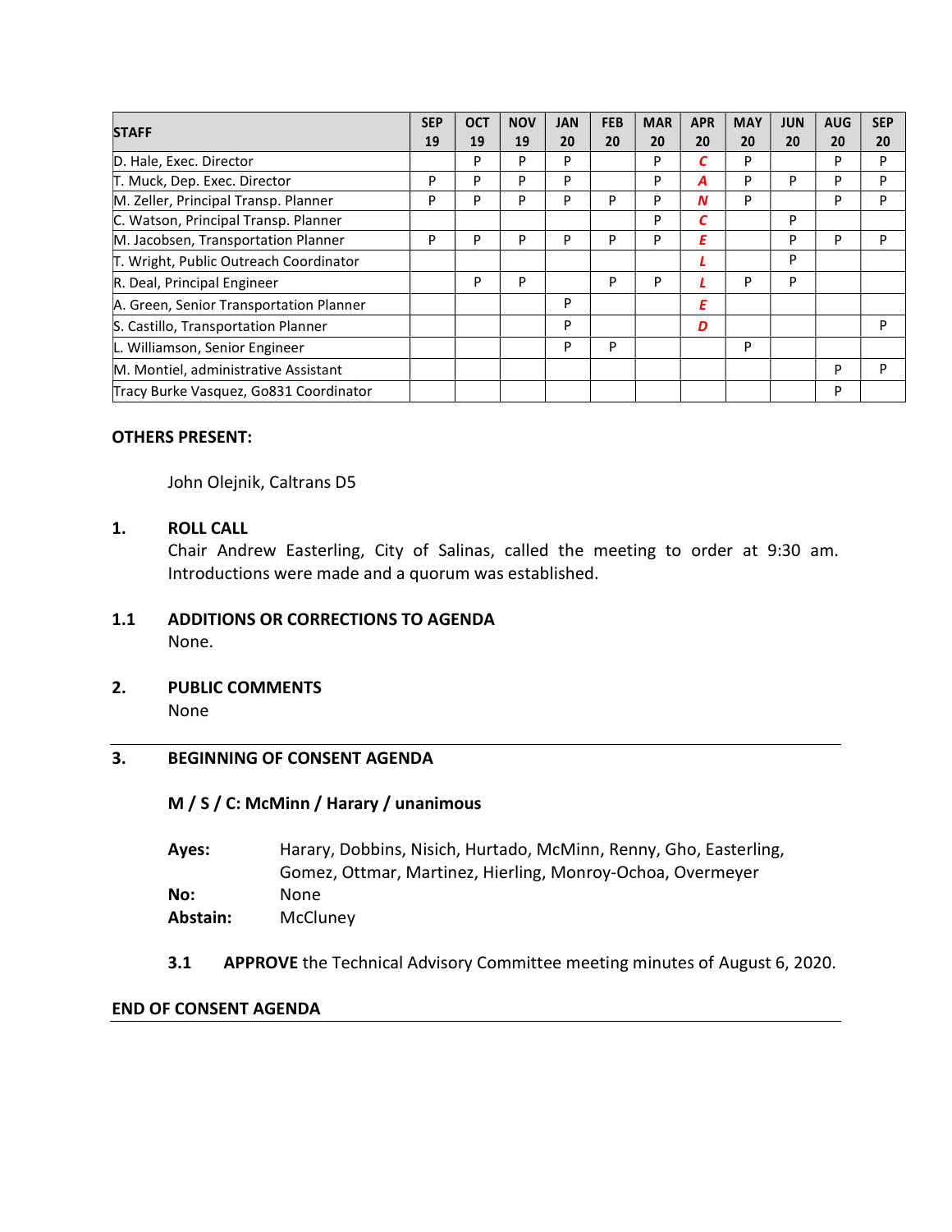|                                         | <b>SEP</b> | <b>OCT</b> | <b>NOV</b> | <b>JAN</b> | <b>FEB</b> | <b>MAR</b> | <b>APR</b> | <b>MAY</b> | <b>JUN</b> | <b>AUG</b> | <b>SEP</b> |
|-----------------------------------------|------------|------------|------------|------------|------------|------------|------------|------------|------------|------------|------------|
| <b>STAFF</b>                            | 19         | 19         | 19         | 20         | 20         | 20         | 20         | 20         | 20         | 20         | 20         |
| D. Hale, Exec. Director                 |            | P          | D          | P          |            | P          |            | P          |            | P          | P          |
| T. Muck, Dep. Exec. Director            | P          | P          | D          | P          |            | P          | А          | P          | P          | P          | P          |
| M. Zeller, Principal Transp. Planner    |            | P          | P          | P          | P          | P          | N          | P          |            | P          | P          |
| C. Watson, Principal Transp. Planner    |            |            |            |            |            | P          | C          |            | P          |            |            |
| M. Jacobsen, Transportation Planner     |            | P          | D          | P          | D          | P          | Ε          |            | P          | P          | P          |
| T. Wright, Public Outreach Coordinator  |            |            |            |            |            |            |            |            | P          |            |            |
| R. Deal, Principal Engineer             |            | P          | P          |            | P          | P          |            | P          | P          |            |            |
| A. Green, Senior Transportation Planner |            |            |            | P          |            |            | Ε          |            |            |            |            |
| S. Castillo, Transportation Planner     |            |            |            | P          |            |            | D          |            |            |            | P          |
| L. Williamson, Senior Engineer          |            |            |            | P          | P          |            |            | P          |            |            |            |
| M. Montiel, administrative Assistant    |            |            |            |            |            |            |            |            |            | P          | P          |
| Tracy Burke Vasquez, Go831 Coordinator  |            |            |            |            |            |            |            |            |            | P          |            |

### OTHERS PRESENT:

John Olejnik, Caltrans D5

### 1. ROLL CALL

Chair Andrew Easterling, City of Salinas, called the meeting to order at 9:30 am. Introductions were made and a quorum was established.

- 1.1 ADDITIONS OR CORRECTIONS TO AGENDA None.
- 2. PUBLIC COMMENTS None

## 3. BEGINNING OF CONSENT AGENDA

## M / S / C: McMinn / Harary / unanimous

| Aves:    | Harary, Dobbins, Nisich, Hurtado, McMinn, Renny, Gho, Easterling, |
|----------|-------------------------------------------------------------------|
|          | Gomez, Ottmar, Martinez, Hierling, Monroy-Ochoa, Overmeyer        |
| No:      | None.                                                             |
| Abstain: | McCluney                                                          |

3.1 APPROVE the Technical Advisory Committee meeting minutes of August 6, 2020.

#### END OF CONSENT AGENDA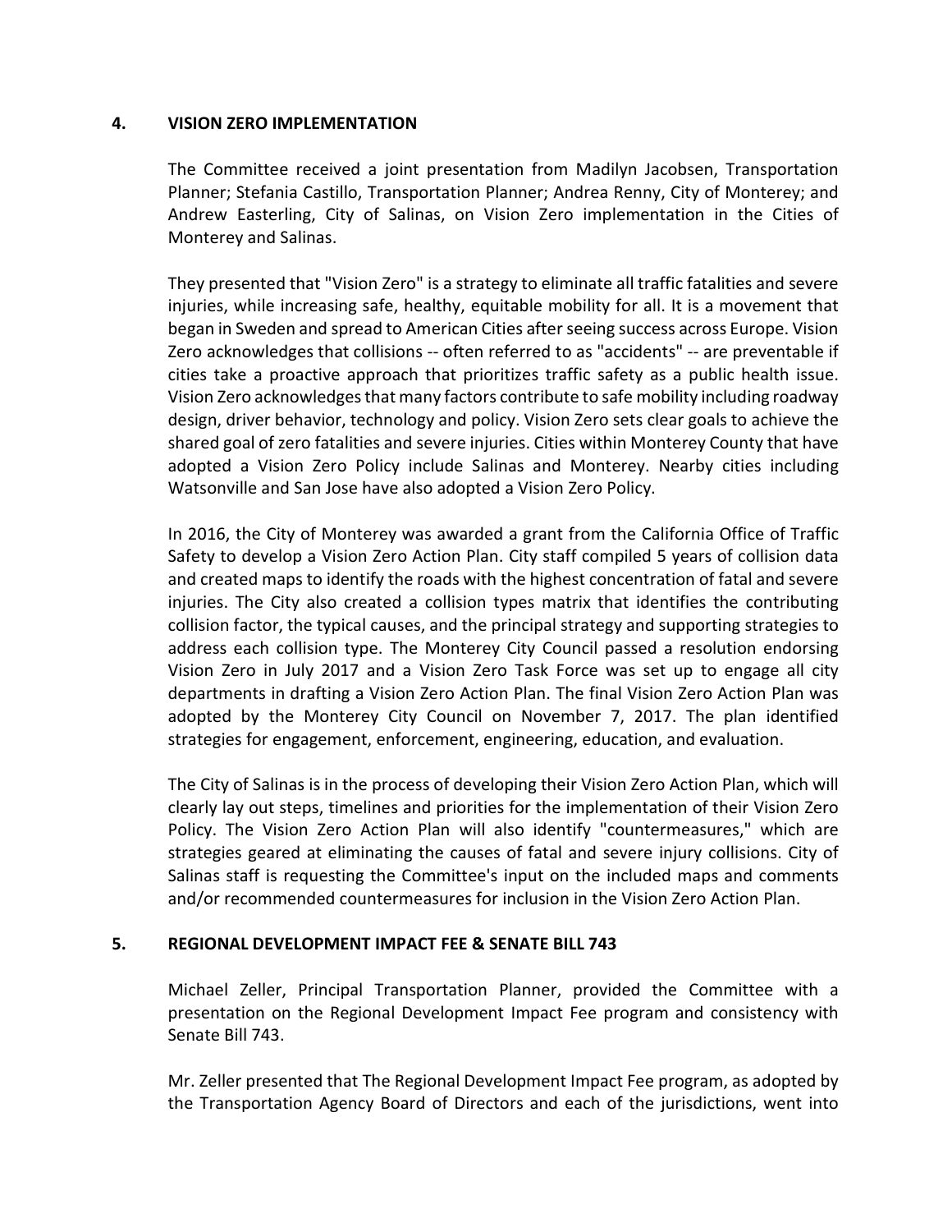### 4. VISION ZERO IMPLEMENTATION

The Committee received a joint presentation from Madilyn Jacobsen, Transportation Planner; Stefania Castillo, Transportation Planner; Andrea Renny, City of Monterey; and Andrew Easterling, City of Salinas, on Vision Zero implementation in the Cities of Monterey and Salinas.

They presented that "Vision Zero" is a strategy to eliminate all traffic fatalities and severe injuries, while increasing safe, healthy, equitable mobility for all. It is a movement that began in Sweden and spread to American Cities after seeing success across Europe. Vision Zero acknowledges that collisions -- often referred to as "accidents" -- are preventable if cities take a proactive approach that prioritizes traffic safety as a public health issue. Vision Zero acknowledges that many factors contribute to safe mobility including roadway design, driver behavior, technology and policy. Vision Zero sets clear goals to achieve the shared goal of zero fatalities and severe injuries. Cities within Monterey County that have adopted a Vision Zero Policy include Salinas and Monterey. Nearby cities including Watsonville and San Jose have also adopted a Vision Zero Policy.

In 2016, the City of Monterey was awarded a grant from the California Office of Traffic Safety to develop a Vision Zero Action Plan. City staff compiled 5 years of collision data and created maps to identify the roads with the highest concentration of fatal and severe injuries. The City also created a collision types matrix that identifies the contributing collision factor, the typical causes, and the principal strategy and supporting strategies to address each collision type. The Monterey City Council passed a resolution endorsing Vision Zero in July 2017 and a Vision Zero Task Force was set up to engage all city departments in drafting a Vision Zero Action Plan. The final Vision Zero Action Plan was adopted by the Monterey City Council on November 7, 2017. The plan identified strategies for engagement, enforcement, engineering, education, and evaluation.

The City of Salinas is in the process of developing their Vision Zero Action Plan, which will clearly lay out steps, timelines and priorities for the implementation of their Vision Zero Policy. The Vision Zero Action Plan will also identify "countermeasures," which are strategies geared at eliminating the causes of fatal and severe injury collisions. City of Salinas staff is requesting the Committee's input on the included maps and comments and/or recommended countermeasures for inclusion in the Vision Zero Action Plan.

### 5. REGIONAL DEVELOPMENT IMPACT FEE & SENATE BILL 743

Michael Zeller, Principal Transportation Planner, provided the Committee with a presentation on the Regional Development Impact Fee program and consistency with Senate Bill 743.

Mr. Zeller presented that The Regional Development Impact Fee program, as adopted by the Transportation Agency Board of Directors and each of the jurisdictions, went into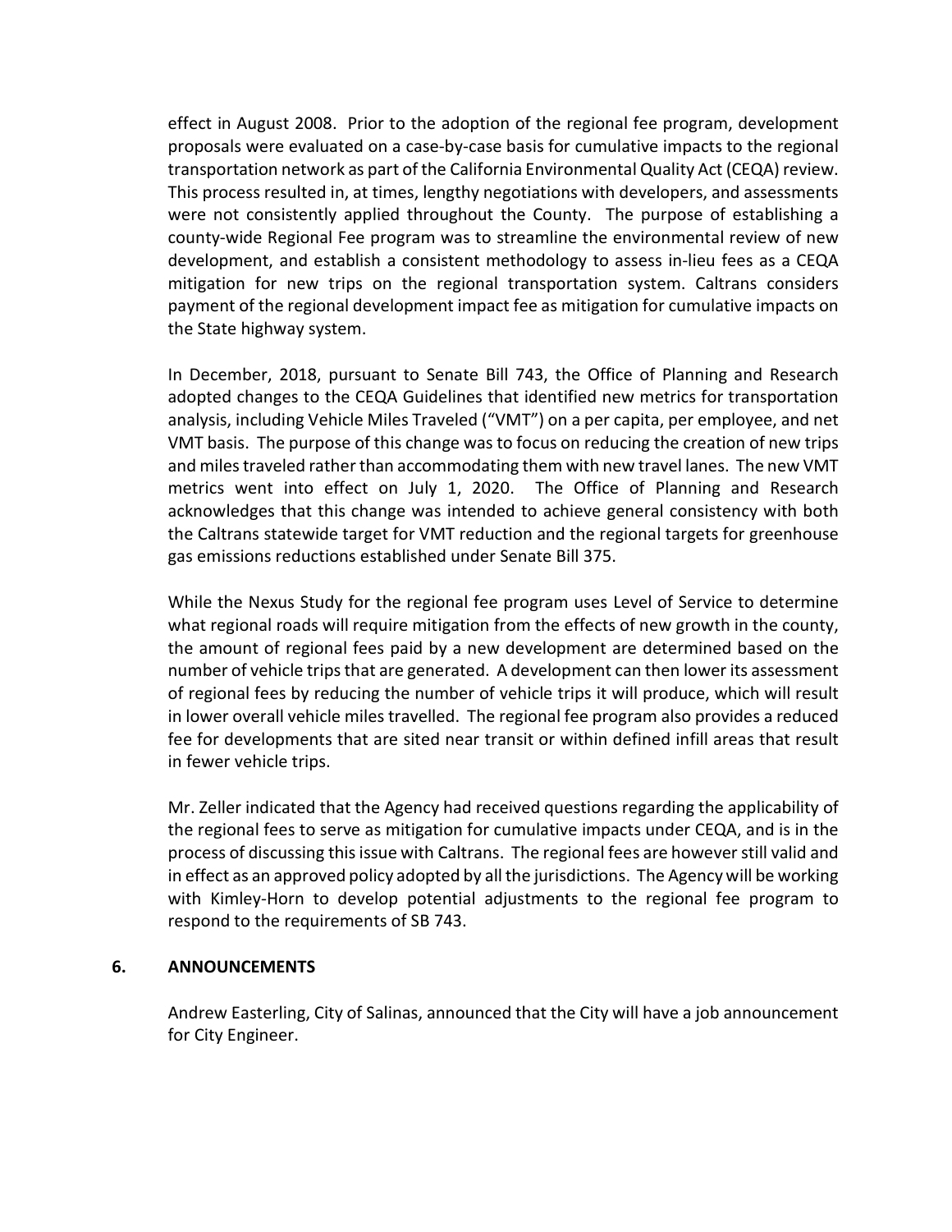effect in August 2008. Prior to the adoption of the regional fee program, development proposals were evaluated on a case-by-case basis for cumulative impacts to the regional transportation network as part of the California Environmental Quality Act (CEQA) review. This process resulted in, at times, lengthy negotiations with developers, and assessments were not consistently applied throughout the County. The purpose of establishing a county-wide Regional Fee program was to streamline the environmental review of new development, and establish a consistent methodology to assess in-lieu fees as a CEQA mitigation for new trips on the regional transportation system. Caltrans considers payment of the regional development impact fee as mitigation for cumulative impacts on the State highway system.

In December, 2018, pursuant to Senate Bill 743, the Office of Planning and Research adopted changes to the CEQA Guidelines that identified new metrics for transportation analysis, including Vehicle Miles Traveled ("VMT") on a per capita, per employee, and net VMT basis. The purpose of this change was to focus on reducing the creation of new trips and miles traveled rather than accommodating them with new travel lanes. The new VMT metrics went into effect on July 1, 2020. The Office of Planning and Research acknowledges that this change was intended to achieve general consistency with both the Caltrans statewide target for VMT reduction and the regional targets for greenhouse gas emissions reductions established under Senate Bill 375.

While the Nexus Study for the regional fee program uses Level of Service to determine what regional roads will require mitigation from the effects of new growth in the county, the amount of regional fees paid by a new development are determined based on the number of vehicle trips that are generated. A development can then lower its assessment of regional fees by reducing the number of vehicle trips it will produce, which will result in lower overall vehicle miles travelled. The regional fee program also provides a reduced fee for developments that are sited near transit or within defined infill areas that result in fewer vehicle trips.

Mr. Zeller indicated that the Agency had received questions regarding the applicability of the regional fees to serve as mitigation for cumulative impacts under CEQA, and is in the process of discussing this issue with Caltrans. The regional fees are however still valid and in effect as an approved policy adopted by all the jurisdictions. The Agency will be working with Kimley-Horn to develop potential adjustments to the regional fee program to respond to the requirements of SB 743.

### 6. ANNOUNCEMENTS

Andrew Easterling, City of Salinas, announced that the City will have a job announcement for City Engineer.